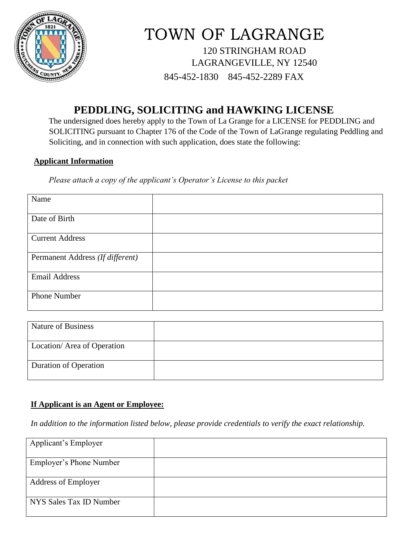

# TOWN OF LAGRANGE 120 STRINGHAM ROAD LAGRANGEVILLE, NY 12540 845-452-1830 845-452-2289 FAX

## **PEDDLING, SOLICITING and HAWKING LICENSE**

The undersigned does hereby apply to the Town of La Grange for a LICENSE for PEDDLING and SOLICITING pursuant to Chapter 176 of the Code of the Town of LaGrange regulating Peddling and Soliciting, and in connection with such application, does state the following:

#### **Applicant Information**

*Please attach a copy of the applicant's Operator's License to this packet*

| Name                             |  |
|----------------------------------|--|
|                                  |  |
| Date of Birth                    |  |
|                                  |  |
| <b>Current Address</b>           |  |
|                                  |  |
| Permanent Address (If different) |  |
|                                  |  |
| <b>Email Address</b>             |  |
|                                  |  |
| <b>Phone Number</b>              |  |
|                                  |  |

| <b>Nature of Business</b>    |  |
|------------------------------|--|
| Location/ Area of Operation  |  |
| <b>Duration of Operation</b> |  |

#### **If Applicant is an Agent or Employee:**

*In addition to the information listed below, please provide credentials to verify the exact relationship.*

| Applicant's Employer       |  |
|----------------------------|--|
|                            |  |
| Employer's Phone Number    |  |
|                            |  |
| <b>Address of Employer</b> |  |
| NYS Sales Tax ID Number    |  |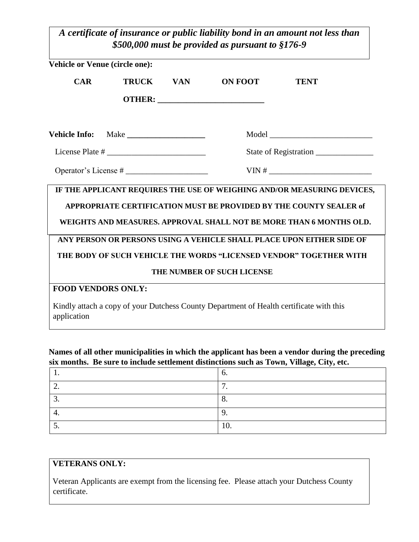*A certificate of insurance or public liability bond in an amount not less than \$500,000 must be provided as pursuant to §176-9*

| Vehicle or Venue (circle one): |              |            |                                                                                                                                                                                                                      |             |  |
|--------------------------------|--------------|------------|----------------------------------------------------------------------------------------------------------------------------------------------------------------------------------------------------------------------|-------------|--|
| CAR                            | <b>TRUCK</b> | <b>VAN</b> | <b>ON FOOT</b>                                                                                                                                                                                                       | <b>TENT</b> |  |
|                                |              |            |                                                                                                                                                                                                                      |             |  |
| Vehicle Info: Make             |              |            |                                                                                                                                                                                                                      |             |  |
|                                |              |            |                                                                                                                                                                                                                      |             |  |
|                                |              |            |                                                                                                                                                                                                                      |             |  |
|                                |              |            | IF THE APPLICANT REQUIRES THE USE OF WEIGHING AND/OR MEASURING DEVICES,<br>APPROPRIATE CERTIFICATION MUST BE PROVIDED BY THE COUNTY SEALER of<br>WEIGHTS AND MEASURES. APPROVAL SHALL NOT BE MORE THAN 6 MONTHS OLD. |             |  |
|                                |              |            | ANY PERSON OR PERSONS USING A VEHICLE SHALL PLACE UPON EITHER SIDE OF                                                                                                                                                |             |  |
|                                |              |            | THE BODY OF SUCH VEHICLE THE WORDS "LICENSED VENDOR" TOGETHER WITH                                                                                                                                                   |             |  |
|                                |              |            | THE NUMBER OF SUCH LICENSE                                                                                                                                                                                           |             |  |
| <b>FOOD VENDORS ONLY:</b>      |              |            |                                                                                                                                                                                                                      |             |  |
| application                    |              |            | Kindly attach a copy of your Dutchess County Department of Health certificate with this                                                                                                                              |             |  |

#### **Names of all other municipalities in which the applicant has been a vendor during the preceding six months. Be sure to include settlement distinctions such as Town, Village, City, etc.**

|                          | v.  |
|--------------------------|-----|
| , .                      | -   |
| ، ب                      | v.  |
|                          |     |
| $\overline{\phantom{a}}$ | TÛ. |

#### **VETERANS ONLY:**

Veteran Applicants are exempt from the licensing fee. Please attach your Dutchess County certificate.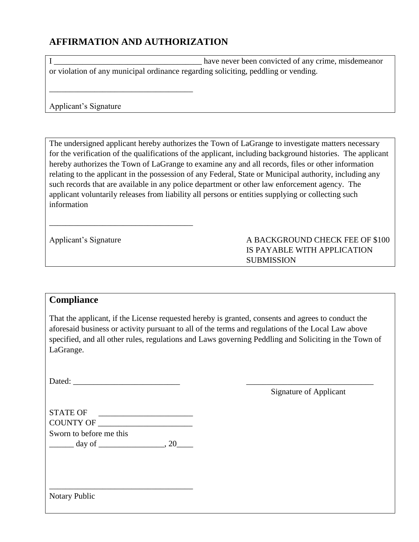### **AFFIRMATION AND AUTHORIZATION**

\_\_\_\_\_\_\_\_\_\_\_\_\_\_\_\_\_\_\_\_\_\_\_\_\_\_\_\_\_\_\_\_\_\_\_

\_\_\_\_\_\_\_\_\_\_\_\_\_\_\_\_\_\_\_\_\_\_\_\_\_\_\_\_\_\_\_\_\_\_\_

I \_\_\_\_\_\_\_\_\_\_\_\_\_\_\_\_\_\_\_\_\_\_\_\_\_\_\_\_\_\_\_\_\_\_\_\_ have never been convicted of any crime, misdemeanor or violation of any municipal ordinance regarding soliciting, peddling or vending.

Applicant's Signature

The undersigned applicant hereby authorizes the Town of LaGrange to investigate matters necessary for the verification of the qualifications of the applicant, including background histories. The applicant hereby authorizes the Town of LaGrange to examine any and all records, files or other information relating to the applicant in the possession of any Federal, State or Municipal authority, including any such records that are available in any police department or other law enforcement agency. The applicant voluntarily releases from liability all persons or entities supplying or collecting such information

A BACKGROUND CHECK FEE OF \$100 IS PAYABLE WITH APPLICATION **SUBMISSION** 

#### **Compliance**

That the applicant, if the License requested hereby is granted, consents and agrees to conduct the aforesaid business or activity pursuant to all of the terms and regulations of the Local Law above specified, and all other rules, regulations and Laws governing Peddling and Soliciting in the Town of LaGrange.

Dated:

Signature of Applicant

| STATE OF                |  |
|-------------------------|--|
| COUNTY OF               |  |
| Sworn to before me this |  |
| day of                  |  |

\_\_\_\_\_\_\_\_\_\_\_\_\_\_\_\_\_\_\_\_\_\_\_\_\_\_\_\_\_\_\_\_\_\_\_

Notary Public